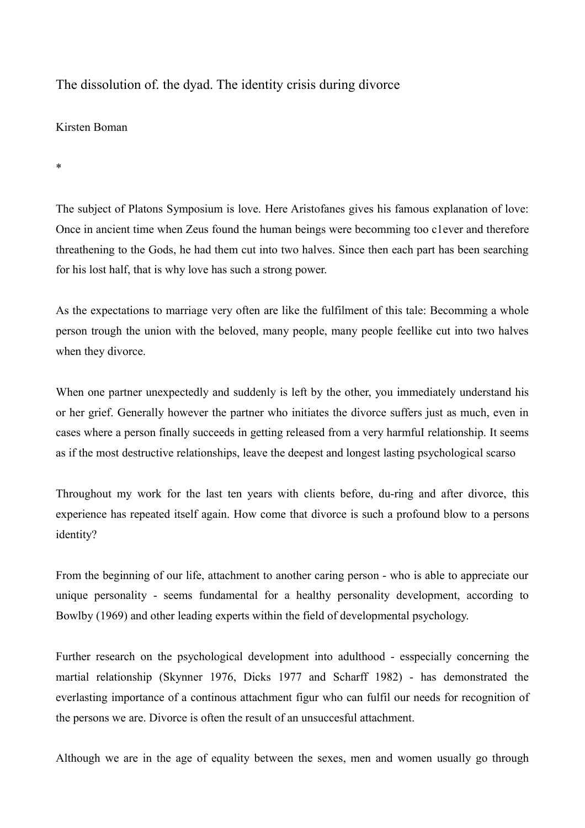The dissolution of. the dyad. The identity crisis during divorce

## Kirsten Boman

\*

The subject of Platons Symposium is love. Here Aristofanes gives his famous explanation of love: Once in ancient time when Zeus found the human beings were becomming too c1ever and therefore threathening to the Gods, he had them cut into two halves. Since then each part has been searching for his lost half, that is why love has such a strong power.

As the expectations to marriage very often are like the fulfilment of this tale: Becomming a whole person trough the union with the beloved, many people, many people feellike cut into two halves when they divorce.

When one partner unexpectedly and suddenly is left by the other, you immediately understand his or her grief. Generally however the partner who initiates the divorce suffers just as much, even in cases where a person finally succeeds in getting released from a very harmfuI relationship. It seems as if the most destructive relationships, leave the deepest and longest lasting psychological scarso

Throughout my work for the last ten years with clients before, du-ring and after divorce, this experience has repeated itself again. How come that divorce is such a profound blow to a persons identity?

From the beginning of our life, attachment to another caring person - who is able to appreciate our unique personality - seems fundamental for a healthy personality development, according to Bowlby (1969) and other leading experts within the field of developmental psychology.

Further research on the psychological development into adulthood - esspecially concerning the martial relationship (Skynner 1976, Dicks 1977 and Scharff 1982) - has demonstrated the everlasting importance of a continous attachment figur who can fulfil our needs for recognition of the persons we are. Divorce is often the result of an unsuccesful attachment.

Although we are in the age of equality between the sexes, men and women usually go through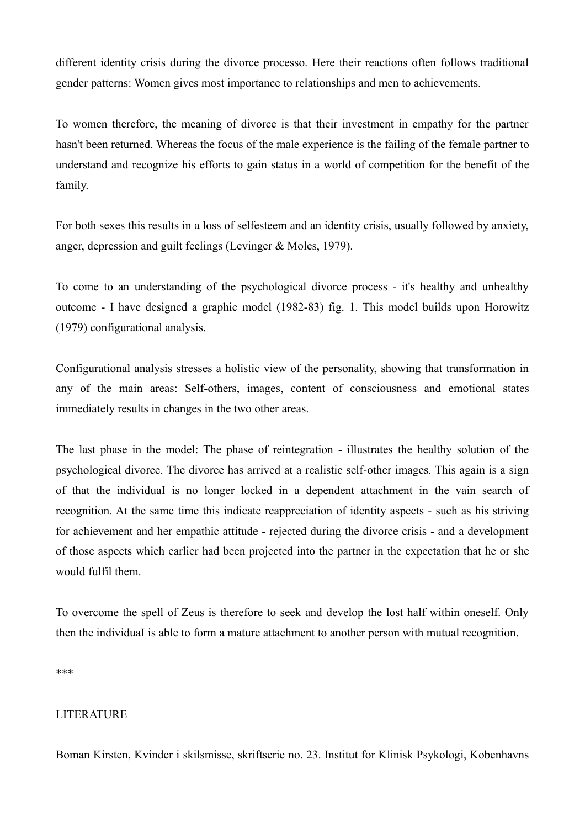different identity crisis during the divorce processo. Here their reactions often follows traditional gender patterns: Women gives most importance to relationships and men to achievements.

To women therefore, the meaning of divorce is that their investment in empathy for the partner hasn't been returned. Whereas the focus of the male experience is the failing of the female partner to understand and recognize his efforts to gain status in a world of competition for the benefit of the family.

For both sexes this results in a loss of selfesteem and an identity crisis, usually followed by anxiety, anger, depression and guilt feelings (Levinger & Moles, 1979).

To come to an understanding of the psychological divorce process - it's healthy and unhealthy outcome - I have designed a graphic model (1982-83) fig. 1. This model builds upon Horowitz (1979) configurational analysis.

Configurational analysis stresses a holistic view of the personality, showing that transformation in any of the main areas: Self-others, images, content of consciousness and emotional states immediately results in changes in the two other areas.

The last phase in the model: The phase of reintegration - illustrates the healthy solution of the psychological divorce. The divorce has arrived at a realistic self-other images. This again is a sign of that the individuaI is no longer locked in a dependent attachment in the vain search of recognition. At the same time this indicate reappreciation of identity aspects - such as his striving for achievement and her empathic attitude - rejected during the divorce crisis - and a development of those aspects which earlier had been projected into the partner in the expectation that he or she would fulfil them.

To overcome the spell of Zeus is therefore to seek and develop the lost half within oneself. Only then the individuaI is able to form a mature attachment to another person with mutual recognition.

\*\*\*

## LITERATURE

Boman Kirsten, Kvinder i skilsmisse, skriftserie no. 23. Institut for Klinisk Psykologi, Kobenhavns